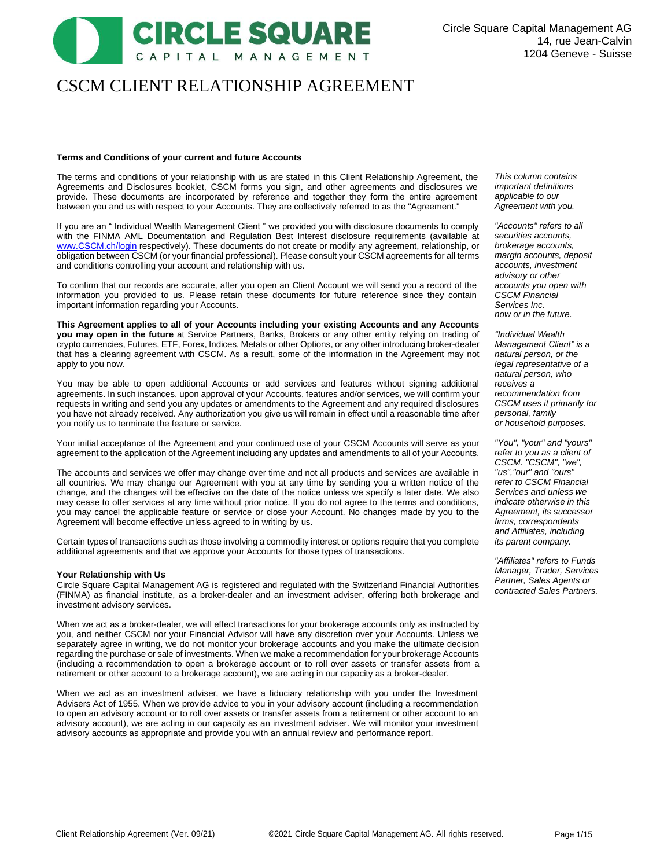# CSCM CLIENT RELATIONSHIP AGREEMENT

CAPITAL MANAGEMENT

CIRCLE SQUARE

# **Terms and Conditions of your current and future Accounts**

The terms and conditions of your relationship with us are stated in this Client Relationship Agreement, the Agreements and Disclosures booklet, CSCM forms you sign, and other agreements and disclosures we provide. These documents are incorporated by reference and together they form the entire agreement between you and us with respect to your Accounts. They are collectively referred to as the "Agreement."

If you are an " Individual Wealth Management Client " we provided you with disclosure documents to comply with the FINMA AML Documentation and Regulation Best Interest disclosure requirements (available at [www.CSCM.ch/login](http://www.cscm.ch/login) respectively). These documents do not create or modify any agreement, relationship, or obligation between CSCM (or your financial professional). Please consult your CSCM agreements for all terms and conditions controlling your account and relationship with us.

To confirm that our records are accurate, after you open an Client Account we will send you a record of the information you provided to us. Please retain these documents for future reference since they contain important information regarding your Accounts.

**This Agreement applies to all of your Accounts including your existing Accounts and any Accounts you may open in the future** at Service Partners, Banks, Brokers or any other entity relying on trading of crypto currencies, Futures, ETF, Forex, Indices, Metals or other Options, or any other introducing broker-dealer that has a clearing agreement with CSCM. As a result, some of the information in the Agreement may not apply to you now.

You may be able to open additional Accounts or add services and features without signing additional agreements. In such instances, upon approval of your Accounts, features and/or services, we will confirm your requests in writing and send you any updates or amendments to the Agreement and any required disclosures you have not already received. Any authorization you give us will remain in effect until a reasonable time after you notify us to terminate the feature or service.

Your initial acceptance of the Agreement and your continued use of your CSCM Accounts will serve as your agreement to the application of the Agreement including any updates and amendments to all of your Accounts.

The accounts and services we offer may change over time and not all products and services are available in all countries. We may change our Agreement with you at any time by sending you a written notice of the change, and the changes will be effective on the date of the notice unless we specify a later date. We also may cease to offer services at any time without prior notice. If you do not agree to the terms and conditions, you may cancel the applicable feature or service or close your Account. No changes made by you to the Agreement will become effective unless agreed to in writing by us.

Certain types of transactions such as those involving a commodity interest or options require that you complete additional agreements and that we approve your Accounts for those types of transactions.

#### **Your Relationship with Us**

Circle Square Capital Management AG is registered and regulated with the Switzerland Financial Authorities (FINMA) as financial institute, as a broker-dealer and an investment adviser, offering both brokerage and investment advisory services.

When we act as a broker-dealer, we will effect transactions for your brokerage accounts only as instructed by you, and neither CSCM nor your Financial Advisor will have any discretion over your Accounts. Unless we separately agree in writing, we do not monitor your brokerage accounts and you make the ultimate decision regarding the purchase or sale of investments. When we make a recommendation for your brokerage Accounts (including a recommendation to open a brokerage account or to roll over assets or transfer assets from a retirement or other account to a brokerage account), we are acting in our capacity as a broker-dealer.

When we act as an investment adviser, we have a fiduciary relationship with you under the Investment Advisers Act of 1955. When we provide advice to you in your advisory account (including a recommendation to open an advisory account or to roll over assets or transfer assets from a retirement or other account to an advisory account), we are acting in our capacity as an investment adviser. We will monitor your investment advisory accounts as appropriate and provide you with an annual review and performance report.

*This column contains important definitions applicable to our Agreement with you.*

*"Accounts" refers to all securities accounts, brokerage accounts, margin accounts, deposit accounts, investment advisory or other accounts you open with CSCM Financial Services Inc. now or in the future.*

*"Individual Wealth Management Client" is a natural person, or the legal representative of a natural person, who receives a recommendation from CSCM uses it primarily for personal, family or household purposes.*

*"You", "your" and "yours" refer to you as a client of CSCM. "CSCM", "we", "us","our" and "ours" refer to CSCM Financial Services and unless we indicate otherwise in this Agreement, its successor firms, correspondents and Affiliates, including its parent company.*

*"Affiliates" refers to Funds Manager, Trader, Services Partner, Sales Agents or contracted Sales Partners.*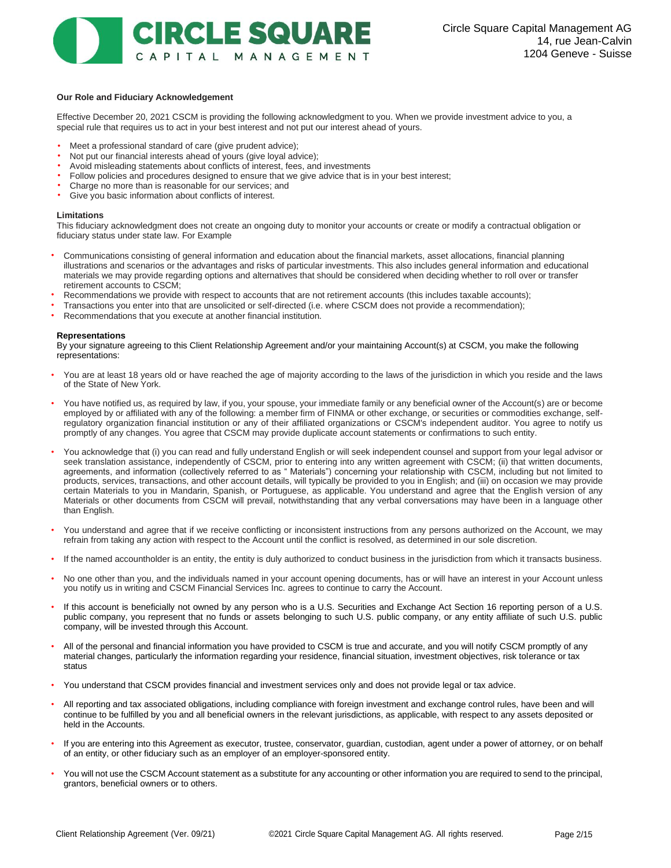

# **Our Role and Fiduciary Acknowledgement**

Effective December 20, 2021 CSCM is providing the following acknowledgment to you. When we provide investment advice to you, a special rule that requires us to act in your best interest and not put our interest ahead of yours.

- Meet a professional standard of care (give prudent advice);
- Not put our financial interests ahead of yours (give loyal advice);
- Avoid misleading statements about conflicts of interest, fees, and investments
- Follow policies and procedures designed to ensure that we give advice that is in your best interest;
- Charge no more than is reasonable for our services; and
- Give you basic information about conflicts of interest.

#### **Limitations**

This fiduciary acknowledgment does not create an ongoing duty to monitor your accounts or create or modify a contractual obligation or fiduciary status under state law. For Example

- Communications consisting of general information and education about the financial markets, asset allocations, financial planning illustrations and scenarios or the advantages and risks of particular investments. This also includes general information and educational materials we may provide regarding options and alternatives that should be considered when deciding whether to roll over or transfer retirement accounts to CSCM;
- Recommendations we provide with respect to accounts that are not retirement accounts (this includes taxable accounts);
- Transactions you enter into that are unsolicited or self-directed (i.e. where CSCM does not provide a recommendation);
- Recommendations that you execute at another financial institution.

#### **Representations**

By your signature agreeing to this Client Relationship Agreement and/or your maintaining Account(s) at CSCM, you make the following representations:

- You are at least 18 years old or have reached the age of majority according to the laws of the jurisdiction in which you reside and the laws of the State of New York.
- You have notified us, as required by law, if you, your spouse, your immediate family or any beneficial owner of the Account(s) are or become employed by or affiliated with any of the following: a member firm of FINMA or other exchange, or securities or commodities exchange, selfregulatory organization financial institution or any of their affiliated organizations or CSCM's independent auditor. You agree to notify us promptly of any changes. You agree that CSCM may provide duplicate account statements or confirmations to such entity.
- You acknowledge that (i) you can read and fully understand English or will seek independent counsel and support from your legal advisor or seek translation assistance, independently of CSCM, prior to entering into any written agreement with CSCM; (ii) that written documents, agreements, and information (collectively referred to as " Materials") concerning your relationship with CSCM, including but not limited to products, services, transactions, and other account details, will typically be provided to you in English; and (iii) on occasion we may provide certain Materials to you in Mandarin, Spanish, or Portuguese, as applicable. You understand and agree that the English version of any Materials or other documents from CSCM will prevail, notwithstanding that any verbal conversations may have been in a language other than English.
- You understand and agree that if we receive conflicting or inconsistent instructions from any persons authorized on the Account, we may refrain from taking any action with respect to the Account until the conflict is resolved, as determined in our sole discretion.
- If the named accountholder is an entity, the entity is duly authorized to conduct business in the jurisdiction from which it transacts business.
- No one other than you, and the individuals named in your account opening documents, has or will have an interest in your Account unless you notify us in writing and CSCM Financial Services Inc. agrees to continue to carry the Account.
- If this account is beneficially not owned by any person who is a U.S. Securities and Exchange Act Section 16 reporting person of a U.S. public company, you represent that no funds or assets belonging to such U.S. public company, or any entity affiliate of such U.S. public company, will be invested through this Account.
- All of the personal and financial information you have provided to CSCM is true and accurate, and you will notify CSCM promptly of any material changes, particularly the information regarding your residence, financial situation, investment objectives, risk tolerance or tax status
- You understand that CSCM provides financial and investment services only and does not provide legal or tax advice.
- All reporting and tax associated obligations, including compliance with foreign investment and exchange control rules, have been and will continue to be fulfilled by you and all beneficial owners in the relevant jurisdictions, as applicable, with respect to any assets deposited or held in the Accounts.
- If you are entering into this Agreement as executor, trustee, conservator, guardian, custodian, agent under a power of attorney, or on behalf of an entity, or other fiduciary such as an employer of an employer-sponsored entity.
- You will not use the CSCM Account statement as a substitute for any accounting or other information you are required to send to the principal, grantors, beneficial owners or to others.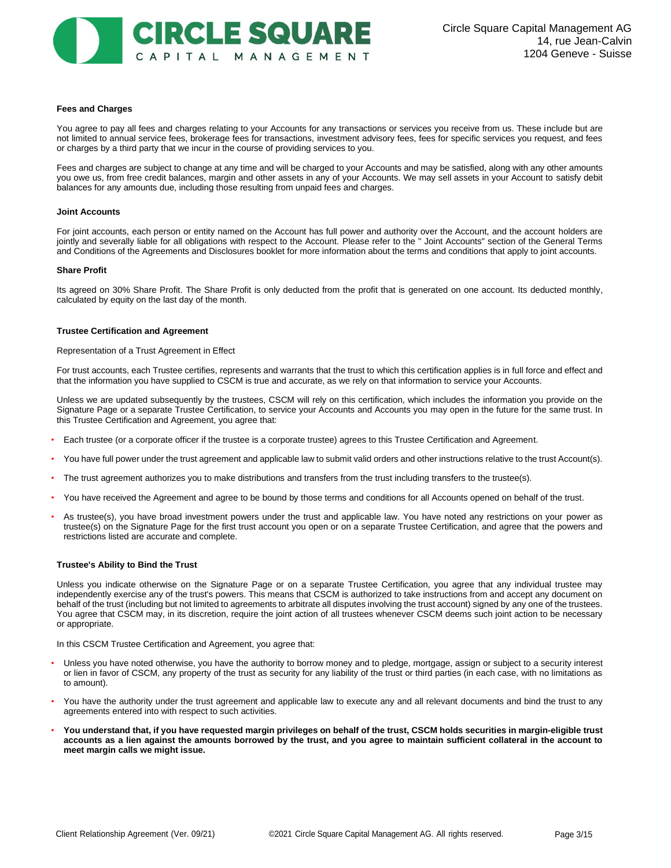#### **Fees and Charges**

You agree to pay all fees and charges relating to your Accounts for any transactions or services you receive from us. These include but are not limited to annual service fees, brokerage fees for transactions, investment advisory fees, fees for specific services you request, and fees or charges by a third party that we incur in the course of providing services to you.

Fees and charges are subject to change at any time and will be charged to your Accounts and may be satisfied, along with any other amounts you owe us, from free credit balances, margin and other assets in any of your Accounts. We may sell assets in your Account to satisfy debit balances for any amounts due, including those resulting from unpaid fees and charges.

#### **Joint Accounts**

For joint accounts, each person or entity named on the Account has full power and authority over the Account, and the account holders are jointly and severally liable for all obligations with respect to the Account. Please refer to the "Joint Accounts" section of the General Terms and Conditions of the Agreements and Disclosures booklet for more information about the terms and conditions that apply to joint accounts.

#### **Share Profit**

Its agreed on 30% Share Profit. The Share Profit is only deducted from the profit that is generated on one account. Its deducted monthly, calculated by equity on the last day of the month.

# **Trustee Certification and Agreement**

Representation of a Trust Agreement in Effect

For trust accounts, each Trustee certifies, represents and warrants that the trust to which this certification applies is in full force and effect and that the information you have supplied to CSCM is true and accurate, as we rely on that information to service your Accounts.

Unless we are updated subsequently by the trustees, CSCM will rely on this certification, which includes the information you provide on the Signature Page or a separate Trustee Certification, to service your Accounts and Accounts you may open in the future for the same trust. In this Trustee Certification and Agreement, you agree that:

- Each trustee (or a corporate officer if the trustee is a corporate trustee) agrees to this Trustee Certification and Agreement.
- You have full power under the trust agreement and applicable law to submit valid orders and other instructions relative to the trust Account(s).
- The trust agreement authorizes you to make distributions and transfers from the trust including transfers to the trustee(s).
- You have received the Agreement and agree to be bound by those terms and conditions for all Accounts opened on behalf of the trust.
- As trustee(s), you have broad investment powers under the trust and applicable law. You have noted any restrictions on your power as trustee(s) on the Signature Page for the first trust account you open or on a separate Trustee Certification, and agree that the powers and restrictions listed are accurate and complete.

# **Trustee's Ability to Bind the Trust**

Unless you indicate otherwise on the Signature Page or on a separate Trustee Certification, you agree that any individual trustee may independently exercise any of the trust's powers. This means that CSCM is authorized to take instructions from and accept any document on behalf of the trust (including but not limited to agreements to arbitrate all disputes involving the trust account) signed by any one of the trustees. You agree that CSCM may, in its discretion, require the joint action of all trustees whenever CSCM deems such joint action to be necessary or appropriate.

In this CSCM Trustee Certification and Agreement, you agree that:

- Unless you have noted otherwise, you have the authority to borrow money and to pledge, mortgage, assign or subject to a security interest or lien in favor of CSCM, any property of the trust as security for any liability of the trust or third parties (in each case, with no limitations as to amount).
- You have the authority under the trust agreement and applicable law to execute any and all relevant documents and bind the trust to any agreements entered into with respect to such activities.
- **You understand that, if you have requested margin privileges on behalf of the trust, CSCM holds securities in margin-eligible trust accounts as a lien against the amounts borrowed by the trust, and you agree to maintain sufficient collateral in the account to meet margin calls we might issue.**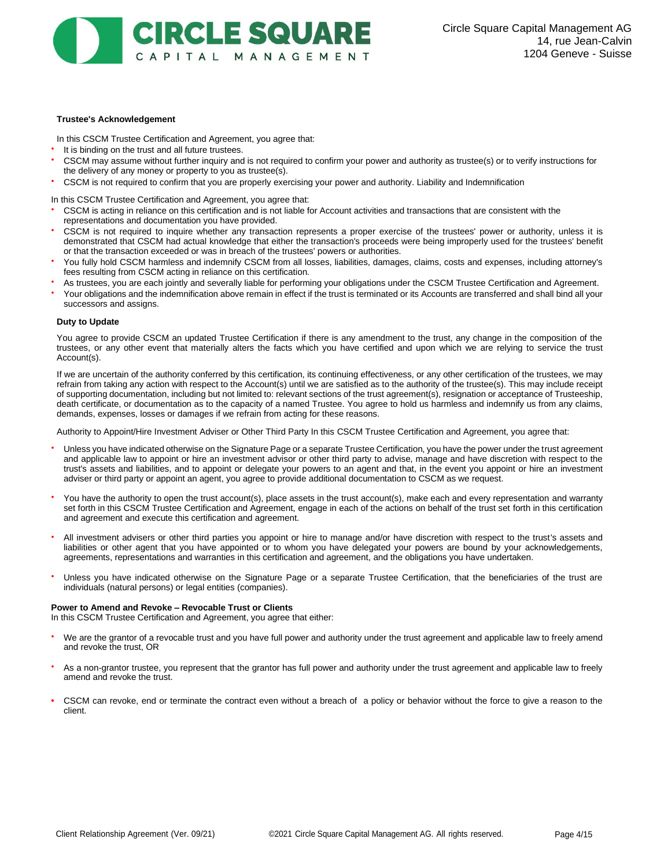# **CIRCLE SQUARE** CAPITAL MANAGEMENT

# **Trustee's Acknowledgement**

In this CSCM Trustee Certification and Agreement, you agree that:

- It is binding on the trust and all future trustees.
- CSCM may assume without further inquiry and is not required to confirm your power and authority as trustee(s) or to verify instructions for the delivery of any money or property to you as trustee(s).
- CSCM is not required to confirm that you are properly exercising your power and authority. Liability and Indemnification

In this CSCM Trustee Certification and Agreement, you agree that:

- CSCM is acting in reliance on this certification and is not liable for Account activities and transactions that are consistent with the representations and documentation you have provided.
- CSCM is not required to inquire whether any transaction represents a proper exercise of the trustees' power or authority, unless it is demonstrated that CSCM had actual knowledge that either the transaction's proceeds were being improperly used for the trustees' benefit or that the transaction exceeded or was in breach of the trustees' powers or authorities.
- You fully hold CSCM harmless and indemnify CSCM from all losses, liabilities, damages, claims, costs and expenses, including attorney's fees resulting from CSCM acting in reliance on this certification.
- As trustees, you are each jointly and severally liable for performing your obligations under the CSCM Trustee Certification and Agreement.
- Your obligations and the indemnification above remain in effect if the trust is terminated or its Accounts are transferred and shall bind all your successors and assigns.

#### **Duty to Update**

You agree to provide CSCM an updated Trustee Certification if there is any amendment to the trust, any change in the composition of the trustees, or any other event that materially alters the facts which you have certified and upon which we are relying to service the trust Account(s).

If we are uncertain of the authority conferred by this certification, its continuing effectiveness, or any other certification of the trustees, we may refrain from taking any action with respect to the Account(s) until we are satisfied as to the authority of the trustee(s). This may include receipt of supporting documentation, including but not limited to: relevant sections of the trust agreement(s), resignation or acceptance of Trusteeship, death certificate, or documentation as to the capacity of a named Trustee. You agree to hold us harmless and indemnify us from any claims, demands, expenses, losses or damages if we refrain from acting for these reasons.

Authority to Appoint/Hire Investment Adviser or Other Third Party In this CSCM Trustee Certification and Agreement, you agree that:

- Unless you have indicated otherwise on the Signature Page or a separate Trustee Certification, you have the power under the trust agreement and applicable law to appoint or hire an investment advisor or other third party to advise, manage and have discretion with respect to the trust's assets and liabilities, and to appoint or delegate your powers to an agent and that, in the event you appoint or hire an investment adviser or third party or appoint an agent, you agree to provide additional documentation to CSCM as we request.
- You have the authority to open the trust account(s), place assets in the trust account(s), make each and every representation and warranty set forth in this CSCM Trustee Certification and Agreement, engage in each of the actions on behalf of the trust set forth in this certification and agreement and execute this certification and agreement.
- All investment advisers or other third parties you appoint or hire to manage and/or have discretion with respect to the trust's assets and liabilities or other agent that you have appointed or to whom you have delegated your powers are bound by your acknowledgements, agreements, representations and warranties in this certification and agreement, and the obligations you have undertaken.
- Unless you have indicated otherwise on the Signature Page or a separate Trustee Certification, that the beneficiaries of the trust are individuals (natural persons) or legal entities (companies).

#### **Power to Amend and Revoke – Revocable Trust or Clients**

In this CSCM Trustee Certification and Agreement, you agree that either:

- We are the grantor of a revocable trust and you have full power and authority under the trust agreement and applicable law to freely amend and revoke the trust, OR
- As a non-grantor trustee, you represent that the grantor has full power and authority under the trust agreement and applicable law to freely amend and revoke the trust.
- **•** CSCM can revoke, end or terminate the contract even without a breach of a policy or behavior without the force to give a reason to the client.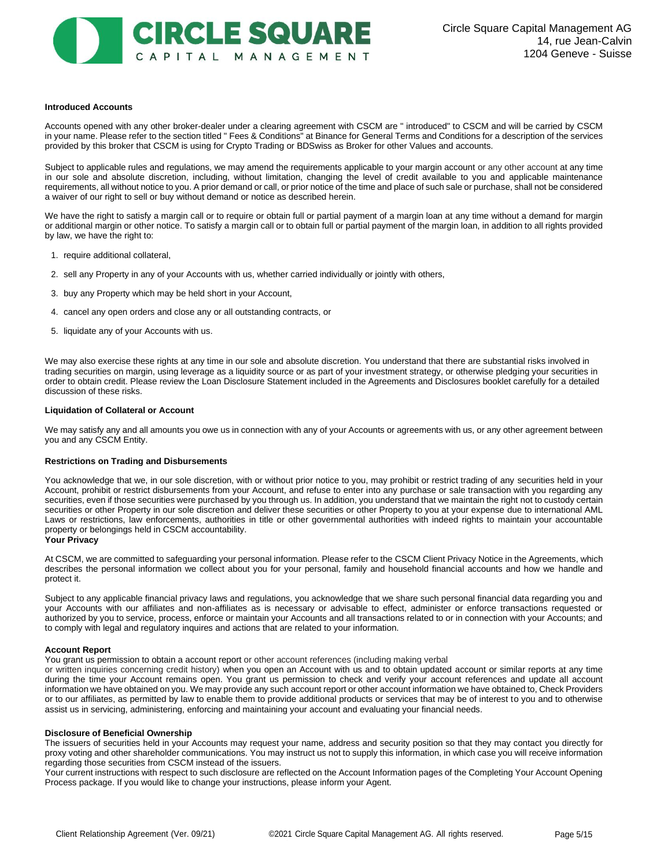

#### **Introduced Accounts**

Accounts opened with any other broker-dealer under a clearing agreement with CSCM are " introduced" to CSCM and will be carried by CSCM in your name. Please refer to the section titled " Fees & Conditions" at Binance for General Terms and Conditions for a description of the services provided by this broker that CSCM is using for Crypto Trading or BDSwiss as Broker for other Values and accounts.

Subject to applicable rules and regulations, we may amend the requirements applicable to your margin account or any other account at any time in our sole and absolute discretion, including, without limitation, changing the level of credit available to you and applicable maintenance requirements, all without notice to you. A prior demand or call, or prior notice of the time and place of such sale or purchase, shall not be considered a waiver of our right to sell or buy without demand or notice as described herein.

We have the right to satisfy a margin call or to require or obtain full or partial payment of a margin loan at any time without a demand for margin or additional margin or other notice. To satisfy a margin call or to obtain full or partial payment of the margin loan, in addition to all rights provided by law, we have the right to:

- 1. require additional collateral,
- 2. sell any Property in any of your Accounts with us, whether carried individually or jointly with others,
- 3. buy any Property which may be held short in your Account,
- 4. cancel any open orders and close any or all outstanding contracts, or
- 5. liquidate any of your Accounts with us.

We may also exercise these rights at any time in our sole and absolute discretion. You understand that there are substantial risks involved in trading securities on margin, using leverage as a liquidity source or as part of your investment strategy, or otherwise pledging your securities in order to obtain credit. Please review the Loan Disclosure Statement included in the Agreements and Disclosures booklet carefully for a detailed discussion of these risks.

#### **Liquidation of Collateral or Account**

We may satisfy any and all amounts you owe us in connection with any of your Accounts or agreements with us, or any other agreement between you and any CSCM Entity.

#### **Restrictions on Trading and Disbursements**

You acknowledge that we, in our sole discretion, with or without prior notice to you, may prohibit or restrict trading of any securities held in your Account, prohibit or restrict disbursements from your Account, and refuse to enter into any purchase or sale transaction with you regarding any securities, even if those securities were purchased by you through us. In addition, you understand that we maintain the right not to custody certain securities or other Property in our sole discretion and deliver these securities or other Property to you at your expense due to international AML Laws or restrictions, law enforcements, authorities in title or other governmental authorities with indeed rights to maintain your accountable property or belongings held in CSCM accountability.

#### **Your Privacy**

At CSCM, we are committed to safeguarding your personal information. Please refer to the CSCM Client Privacy Notice in the Agreements, which describes the personal information we collect about you for your personal, family and household financial accounts and how we handle and protect it.

Subject to any applicable financial privacy laws and regulations, you acknowledge that we share such personal financial data regarding you and your Accounts with our affiliates and non-affiliates as is necessary or advisable to effect, administer or enforce transactions requested or authorized by you to service, process, enforce or maintain your Accounts and all transactions related to or in connection with your Accounts; and to comply with legal and regulatory inquires and actions that are related to your information.

#### **Account Report**

You grant us permission to obtain a account report or other account references (including making verbal

or written inquiries concerning credit history) when you open an Account with us and to obtain updated account or similar reports at any time during the time your Account remains open. You grant us permission to check and verify your account references and update all account information we have obtained on you. We may provide any such account report or other account information we have obtained to, Check Providers or to our affiliates, as permitted by law to enable them to provide additional products or services that may be of interest to you and to otherwise assist us in servicing, administering, enforcing and maintaining your account and evaluating your financial needs.

#### **Disclosure of Beneficial Ownership**

The issuers of securities held in your Accounts may request your name, address and security position so that they may contact you directly for proxy voting and other shareholder communications. You may instruct us not to supply this information, in which case you will receive information regarding those securities from CSCM instead of the issuers.

Your current instructions with respect to such disclosure are reflected on the Account Information pages of the Completing Your Account Opening Process package. If you would like to change your instructions, please inform your Agent.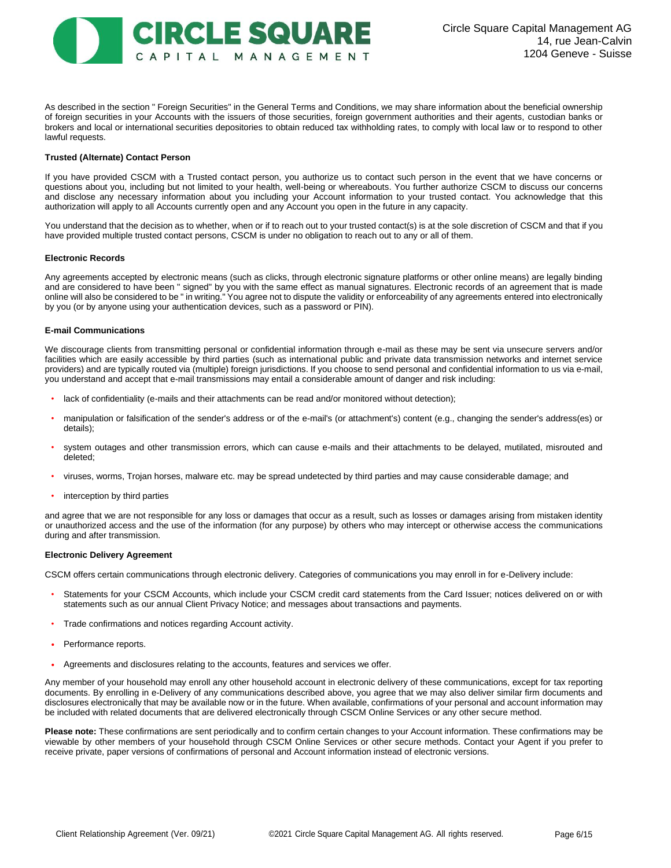

As described in the section " Foreign Securities" in the General Terms and Conditions, we may share information about the beneficial ownership of foreign securities in your Accounts with the issuers of those securities, foreign government authorities and their agents, custodian banks or brokers and local or international securities depositories to obtain reduced tax withholding rates, to comply with local law or to respond to other lawful requests.

# **Trusted (Alternate) Contact Person**

If you have provided CSCM with a Trusted contact person, you authorize us to contact such person in the event that we have concerns or questions about you, including but not limited to your health, well-being or whereabouts. You further authorize CSCM to discuss our concerns and disclose any necessary information about you including your Account information to your trusted contact. You acknowledge that this authorization will apply to all Accounts currently open and any Account you open in the future in any capacity.

You understand that the decision as to whether, when or if to reach out to your trusted contact(s) is at the sole discretion of CSCM and that if you have provided multiple trusted contact persons, CSCM is under no obligation to reach out to any or all of them.

#### **Electronic Records**

Any agreements accepted by electronic means (such as clicks, through electronic signature platforms or other online means) are legally binding and are considered to have been " signed" by you with the same effect as manual signatures. Electronic records of an agreement that is made online will also be considered to be " in writing." You agree not to dispute the validity or enforceability of any agreements entered into electronically by you (or by anyone using your authentication devices, such as a password or PIN).

# **E-mail Communications**

We discourage clients from transmitting personal or confidential information through e-mail as these may be sent via unsecure servers and/or facilities which are easily accessible by third parties (such as international public and private data transmission networks and internet service providers) and are typically routed via (multiple) foreign jurisdictions. If you choose to send personal and confidential information to us via e-mail, you understand and accept that e-mail transmissions may entail a considerable amount of danger and risk including:

- lack of confidentiality (e-mails and their attachments can be read and/or monitored without detection);
- manipulation or falsification of the sender's address or of the e-mail's (or attachment's) content (e.g., changing the sender's address(es) or details);
- system outages and other transmission errors, which can cause e-mails and their attachments to be delayed, mutilated, misrouted and deleted;
- viruses, worms, Trojan horses, malware etc. may be spread undetected by third parties and may cause considerable damage; and
- interception by third parties

and agree that we are not responsible for any loss or damages that occur as a result, such as losses or damages arising from mistaken identity or unauthorized access and the use of the information (for any purpose) by others who may intercept or otherwise access the communications during and after transmission.

#### **Electronic Delivery Agreement**

CSCM offers certain communications through electronic delivery. Categories of communications you may enroll in for e-Delivery include:

- Statements for your CSCM Accounts, which include your CSCM credit card statements from the Card Issuer; notices delivered on or with statements such as our annual Client Privacy Notice; and messages about transactions and payments.
- Trade confirmations and notices regarding Account activity.
- Performance reports.
- Agreements and disclosures relating to the accounts, features and services we offer.

Any member of your household may enroll any other household account in electronic delivery of these communications, except for tax reporting documents. By enrolling in e-Delivery of any communications described above, you agree that we may also deliver similar firm documents and disclosures electronically that may be available now or in the future. When available, confirmations of your personal and account information may be included with related documents that are delivered electronically through CSCM Online Services or any other secure method.

**Please note:** These confirmations are sent periodically and to confirm certain changes to your Account information. These confirmations may be viewable by other members of your household through CSCM Online Services or other secure methods. Contact your Agent if you prefer to receive private, paper versions of confirmations of personal and Account information instead of electronic versions.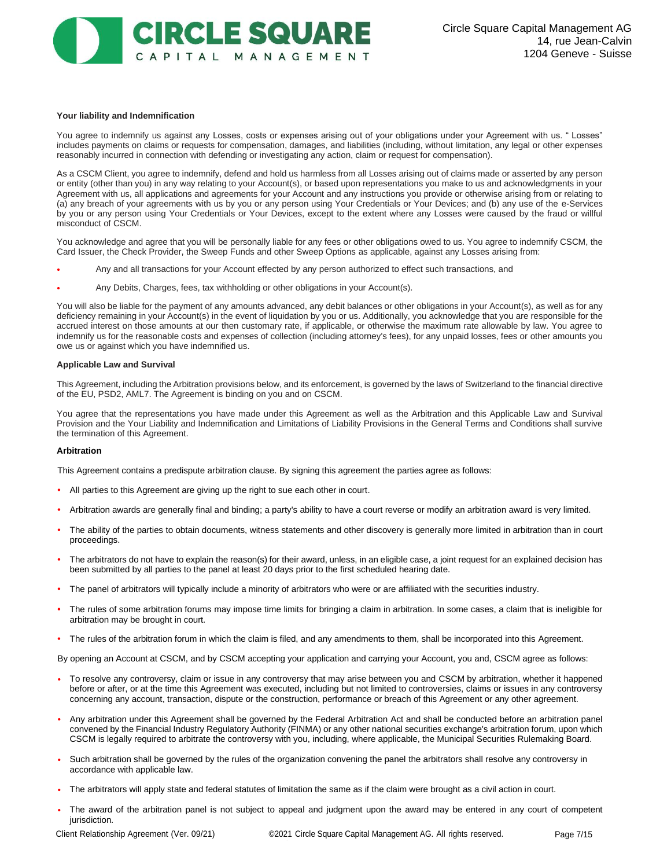

#### **Your liability and Indemnification**

You agree to indemnify us against any Losses, costs or expenses arising out of your obligations under your Agreement with us. " Losses" includes payments on claims or requests for compensation, damages, and liabilities (including, without limitation, any legal or other expenses reasonably incurred in connection with defending or investigating any action, claim or request for compensation).

As a CSCM Client, you agree to indemnify, defend and hold us harmless from all Losses arising out of claims made or asserted by any person or entity (other than you) in any way relating to your Account(s), or based upon representations you make to us and acknowledgments in your Agreement with us, all applications and agreements for your Account and any instructions you provide or otherwise arising from or relating to (a) any breach of your agreements with us by you or any person using Your Credentials or Your Devices; and (b) any use of the e-Services by you or any person using Your Credentials or Your Devices, except to the extent where any Losses were caused by the fraud or willful misconduct of CSCM.

You acknowledge and agree that you will be personally liable for any fees or other obligations owed to us. You agree to indemnify CSCM, the Card Issuer, the Check Provider, the Sweep Funds and other Sweep Options as applicable, against any Losses arising from:

- Any and all transactions for your Account effected by any person authorized to effect such transactions, and
- Any Debits, Charges, fees, tax withholding or other obligations in your Account(s).

You will also be liable for the payment of any amounts advanced, any debit balances or other obligations in your Account(s), as well as for any deficiency remaining in your Account(s) in the event of liquidation by you or us. Additionally, you acknowledge that you are responsible for the accrued interest on those amounts at our then customary rate, if applicable, or otherwise the maximum rate allowable by law. You agree to indemnify us for the reasonable costs and expenses of collection (including attorney's fees), for any unpaid losses, fees or other amounts you owe us or against which you have indemnified us.

#### **Applicable Law and Survival**

This Agreement, including the Arbitration provisions below, and its enforcement, is governed by the laws of Switzerland to the financial directive of the EU, PSD2, AML7. The Agreement is binding on you and on CSCM.

You agree that the representations you have made under this Agreement as well as the Arbitration and this Applicable Law and Survival Provision and the Your Liability and Indemnification and Limitations of Liability Provisions in the General Terms and Conditions shall survive the termination of this Agreement.

#### **Arbitration**

This Agreement contains a predispute arbitration clause. By signing this agreement the parties agree as follows:

- **•** All parties to this Agreement are giving up the right to sue each other in court.
- **•** Arbitration awards are generally final and binding; a party's ability to have a court reverse or modify an arbitration award is very limited.
- **•** The ability of the parties to obtain documents, witness statements and other discovery is generally more limited in arbitration than in court proceedings.
- The arbitrators do not have to explain the reason(s) for their award, unless, in an eligible case, a joint request for an explained decision has been submitted by all parties to the panel at least 20 days prior to the first scheduled hearing date.
- **•** The panel of arbitrators will typically include a minority of arbitrators who were or are affiliated with the securities industry.
- **•** The rules of some arbitration forums may impose time limits for bringing a claim in arbitration. In some cases, a claim that is ineligible for arbitration may be brought in court.
- **•** The rules of the arbitration forum in which the claim is filed, and any amendments to them, shall be incorporated into this Agreement.

By opening an Account at CSCM, and by CSCM accepting your application and carrying your Account, you and, CSCM agree as follows:

- To resolve any controversy, claim or issue in any controversy that may arise between you and CSCM by arbitration, whether it happened before or after, or at the time this Agreement was executed, including but not limited to controversies, claims or issues in any controversy concerning any account, transaction, dispute or the construction, performance or breach of this Agreement or any other agreement.
- Any arbitration under this Agreement shall be governed by the Federal Arbitration Act and shall be conducted before an arbitration panel convened by the Financial Industry Regulatory Authority (FINMA) or any other national securities exchange's arbitration forum, upon which CSCM is legally required to arbitrate the controversy with you, including, where applicable, the Municipal Securities Rulemaking Board.
- Such arbitration shall be governed by the rules of the organization convening the panel the arbitrators shall resolve any controversy in accordance with applicable law.
- The arbitrators will apply state and federal statutes of limitation the same as if the claim were brought as a civil action in court.
- The award of the arbitration panel is not subject to appeal and judgment upon the award may be entered in any court of competent jurisdiction.